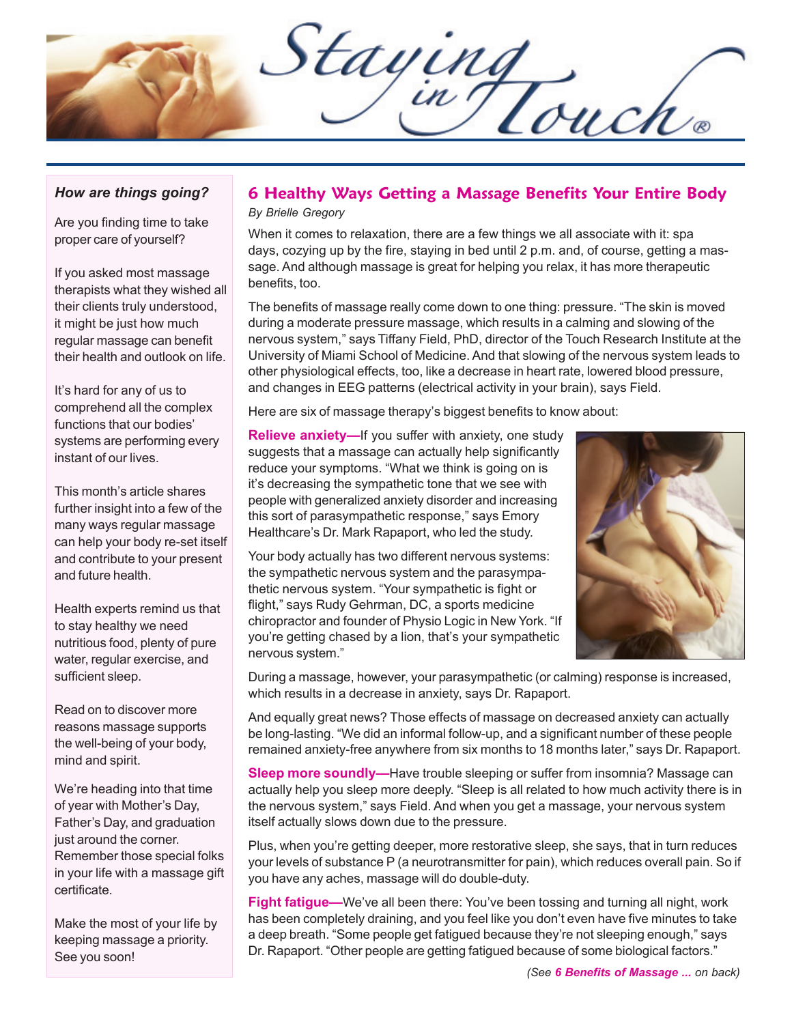Staying

#### *How are things going?*

Are you finding time to take proper care of yourself?

If you asked most massage therapists what they wished all their clients truly understood, it might be just how much regular massage can benefit their health and outlook on life.

It's hard for any of us to comprehend all the complex functions that our bodies' systems are performing every instant of our lives.

This month's article shares further insight into a few of the many ways regular massage can help your body re-set itself and contribute to your present and future health.

Health experts remind us that to stay healthy we need nutritious food, plenty of pure water, regular exercise, and sufficient sleep.

Read on to discover more reasons massage supports the well-being of your body, mind and spirit.

We're heading into that time of year with Mother's Day, Father's Day, and graduation just around the corner. Remember those special folks in your life with a massage gift certificate.

Make the most of your life by keeping massage a priority. See you soon!

# **6 Healthy Ways Getting a Massage Benefits Your Entire Body**

*By Brielle Gregory*

When it comes to relaxation, there are a few things we all associate with it: spa days, cozying up by the fire, staying in bed until 2 p.m. and, of course, getting a massage. And although massage is great for helping you relax, it has more therapeutic benefits, too.

The benefits of massage really come down to one thing: pressure. "The skin is moved during a moderate pressure massage, which results in a calming and slowing of the nervous system," says Tiffany Field, PhD, director of the Touch Research Institute at the University of Miami School of Medicine. And that slowing of the nervous system leads to other physiological effects, too, like a decrease in heart rate, lowered blood pressure, and changes in EEG patterns (electrical activity in your brain), says Field.

Here are six of massage therapy's biggest benefits to know about:

**Relieve anxiety—**If you suffer with anxiety, one study suggests that a massage can actually help significantly reduce your symptoms. "What we think is going on is it's decreasing the sympathetic tone that we see with people with generalized anxiety disorder and increasing this sort of parasympathetic response," says Emory Healthcare's Dr. Mark Rapaport, who led the study.

Your body actually has two different nervous systems: the sympathetic nervous system and the parasympathetic nervous system. "Your sympathetic is fight or flight," says Rudy Gehrman, DC, a sports medicine chiropractor and founder of Physio Logic in New York. "If you're getting chased by a lion, that's your sympathetic nervous system."



During a massage, however, your parasympathetic (or calming) response is increased, which results in a decrease in anxiety, says Dr. Rapaport.

And equally great news? Those effects of massage on decreased anxiety can actually be long-lasting. "We did an informal follow-up, and a significant number of these people remained anxiety-free anywhere from six months to 18 months later," says Dr. Rapaport.

**Sleep more soundly—**Have trouble sleeping or suffer from insomnia? Massage can actually help you sleep more deeply. "Sleep is all related to how much activity there is in the nervous system," says Field. And when you get a massage, your nervous system itself actually slows down due to the pressure.

Plus, when you're getting deeper, more restorative sleep, she says, that in turn reduces your levels of substance P (a neurotransmitter for pain), which reduces overall pain. So if you have any aches, massage will do double-duty.

**Fight fatigue—**We've all been there: You've been tossing and turning all night, work has been completely draining, and you feel like you don't even have five minutes to take a deep breath. "Some people get fatigued because they're not sleeping enough," says Dr. Rapaport. "Other people are getting fatigued because of some biological factors."